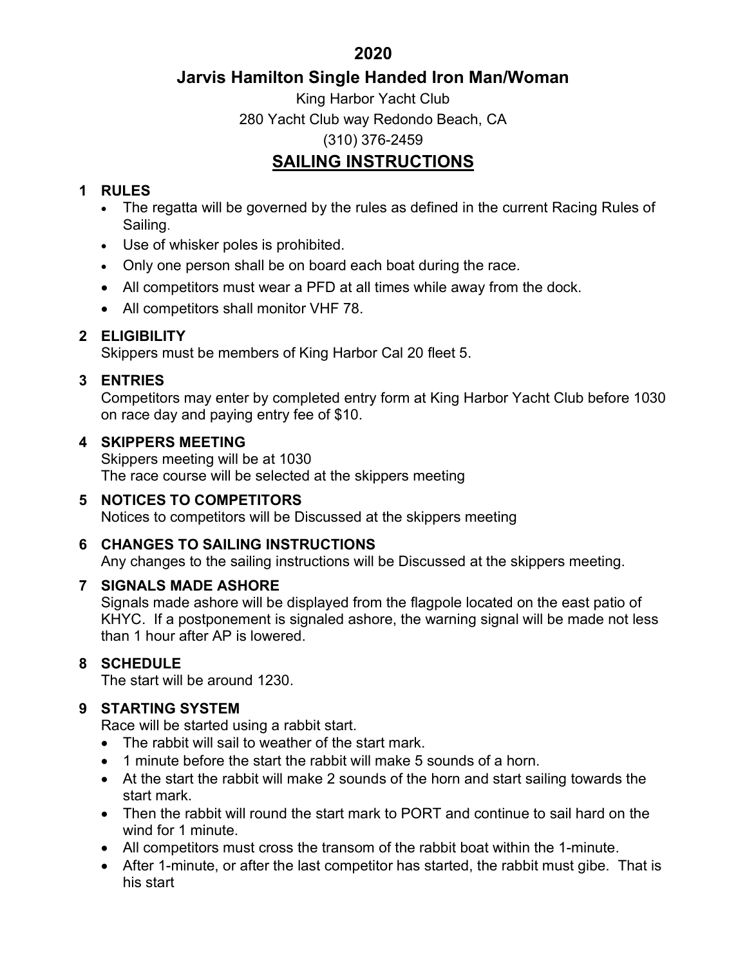2020

# Jarvis Hamilton Single Handed Iron Man/Woman

King Harbor Yacht Club 280 Yacht Club way Redondo Beach, CA (310) 376-2459

# SAILING INSTRUCTIONS

## 1 RULES

- The regatta will be governed by the rules as defined in the current Racing Rules of Sailing.
- Use of whisker poles is prohibited.
- Only one person shall be on board each boat during the race.
- All competitors must wear a PFD at all times while away from the dock.
- All competitors shall monitor VHF 78.

# 2 ELIGIBILITY

Skippers must be members of King Harbor Cal 20 fleet 5.

## 3 ENTRIES

Competitors may enter by completed entry form at King Harbor Yacht Club before 1030 on race day and paying entry fee of \$10.

### 4 SKIPPERS MEETING

Skippers meeting will be at 1030 The race course will be selected at the skippers meeting

### 5 NOTICES TO COMPETITORS

Notices to competitors will be Discussed at the skippers meeting

### 6 CHANGES TO SAILING INSTRUCTIONS

Any changes to the sailing instructions will be Discussed at the skippers meeting.

### 7 SIGNALS MADE ASHORE

Signals made ashore will be displayed from the flagpole located on the east patio of KHYC. If a postponement is signaled ashore, the warning signal will be made not less than 1 hour after AP is lowered.

# 8 SCHEDULE

The start will be around 1230.

# 9 STARTING SYSTEM

Race will be started using a rabbit start.

- The rabbit will sail to weather of the start mark.
- 1 minute before the start the rabbit will make 5 sounds of a horn.
- At the start the rabbit will make 2 sounds of the horn and start sailing towards the start mark.
- Then the rabbit will round the start mark to PORT and continue to sail hard on the wind for 1 minute.
- All competitors must cross the transom of the rabbit boat within the 1-minute.
- After 1-minute, or after the last competitor has started, the rabbit must gibe. That is his start